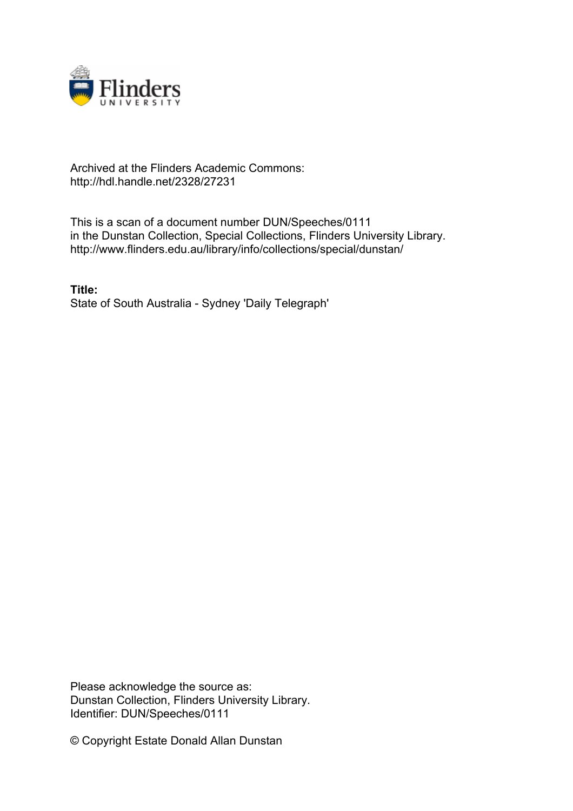

## Archived at the Flinders Academic Commons: http://hdl.handle.net/2328/27231

This is a scan of a document number DUN/Speeches/0111 in the Dunstan Collection, Special Collections, Flinders University Library. http://www.flinders.edu.au/library/info/collections/special/dunstan/

**Title:** State of South Australia - Sydney 'Daily Telegraph'

Please acknowledge the source as: Dunstan Collection, Flinders University Library. Identifier: DUN/Speeches/0111

© Copyright Estate Donald Allan Dunstan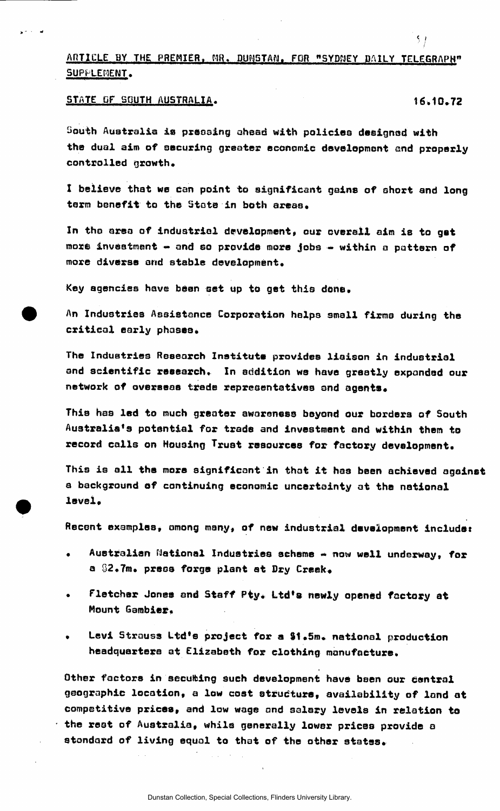## ARTICLE BY THE PREMIER, MR. DUNSTAN, FOR "SYDNEY DAILY TELEGRAPH" SUPPLEMENT.

## STATE OF SOUTH AUSTRALIA. 16.10.72

سابية

 $5 +$ 

South Australia is pressing ahead with policies designed with the dual aim of securing greater economic development and properly controlled growth.

I believe that we Can point to significant gains of short and long term benefit to the State in both areas.

In the area of industrial development, our overall aim is to get more investment - and so provide more jobs - within a pattern of more diverse and stable development.

Key agencies have bean set up to get this done.

An Industries Assistance Corporation helps small firms during the critical early phases.

The Industries Research Institute provides liaison in industrial and scientific research. In addition we have greatly expanded our network of overseas trade representatives and agents.

This has led to much greater aworeness beyond our borders of South Australia's potential for trade and investment and within them to record calls on Housing Trust resources for factory development.

This is all the more significant in that it has been achieved against a background of continuing economic uncertainty at the national level.

Recent examples, among many, of new industrial development includes

- Australian National Industries scheme now well underway, for a  $92.7m$ . press forge plant at Dry Creek.
- Fletcher Jones and Staff Pty. Ltd's newly opened factory at Mount Gambier.
- Levi Strauss Ltd'e project for a \$1.5m. national production headquarters at Elizabeth for clothing manufacture.

Other factors in secubing such development have been our central geographic location, a low cost structure, availability of land at competitive prices, and low wage and salary Idvela in relation to the rest of Australia, while generally lower prices provide a standard of living equal to that of the other states.